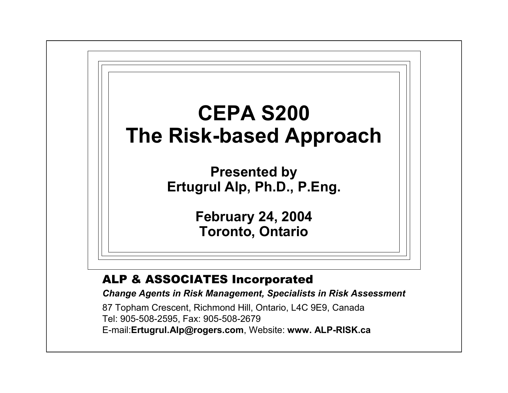# **CEPA S200The Risk-based Approach**

**Presented by Ertugrul Alp, Ph.D., P.Eng.**

> **February 24, 2004 Toronto, Ontario**

### ALP & ASSOCIATES Incorporated

*Change Agents in Risk Management, Specialists in Risk Assessment*

87 Topham Crescent, Richmond Hill, Ontario, L4C 9E9, Canada Tel: 905-508-2595, Fax: 905-508-2679 E-mail:**Ertugrul.Alp@rogers.com**, Website: **www. ALP-RISK.ca**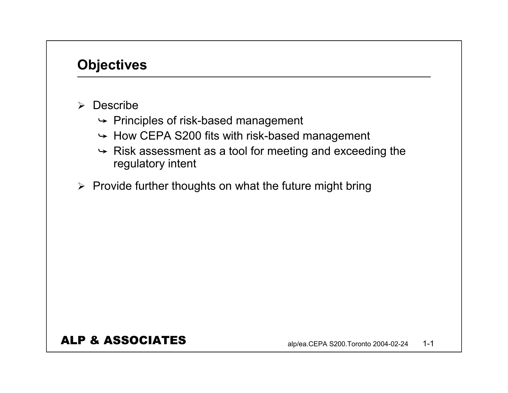## **Objectives**

- ¾ Describe
	- $\rightarrow$  Principles of risk-based management
	- $\rightarrow$  How CEPA S200 fits with risk-based management
	- $\rightarrow$  Risk assessment as a tool for meeting and exceeding the regulatory intent
- $\triangleright$  Provide further thoughts on what the future might bring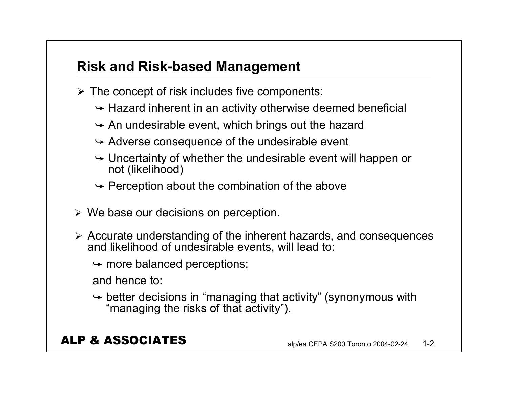## **Risk and Risk-based Management**

- $\triangleright$  The concept of risk includes five components:
	- $\rightarrow$  Hazard inherent in an activity otherwise deemed beneficial
	- $\rightarrow$  An undesirable event, which brings out the hazard
	- $\rightarrow$  Adverse consequence of the undesirable event
	- $\rightarrow$  Uncertainty of whether the undesirable event will happen or not (likelihood)
	- $\rightarrow$  Perception about the combination of the above
- $\triangleright$  We base our decisions on perception.
- ¾ Accurate understanding of the inherent hazards, and consequences and likelihood of undesirable events, will lead to:
	- $\rightarrow$  more balanced perceptions;

and hence to:

 $\rightarrow$  better decisions in "managing that activity" (synonymous with "managing the risks of that activity").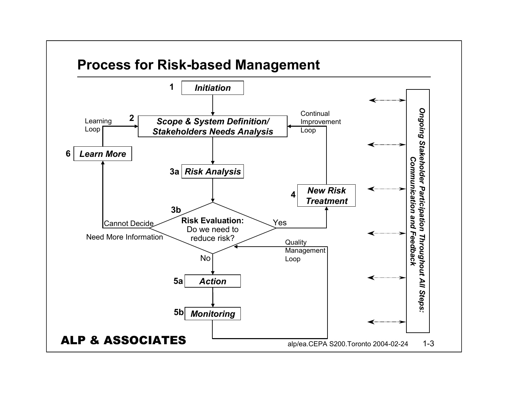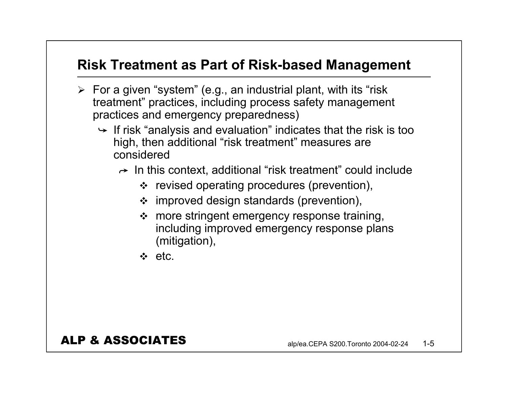## **Risk Treatment as Part of Risk-based Management**

- $\triangleright$  For a given "system" (e.g., an industrial plant, with its "risk treatment" practices, including process safety management practices and emergency preparedness)
	- $\div$  If risk "analysis and evaluation" indicates that the risk is too high, then additional "risk treatment" measures are considered
		- $\rightarrow$  In this context, additional "risk treatment" could include
			- $\cdot \cdot$  revised operating procedures (prevention),
			- $\div$  improved design standards (prevention),
			- $\clubsuit$  more stringent emergency response training, including improved emergency response plans (mitigation),
			- $\Leftrightarrow$  etc.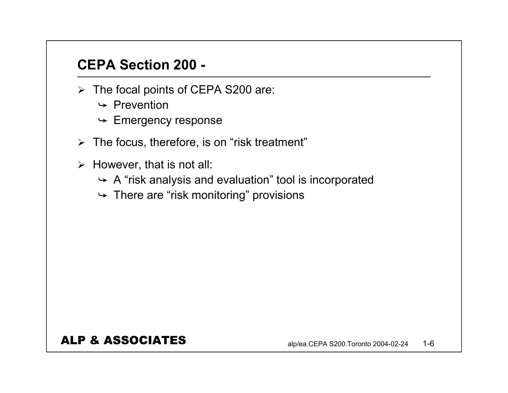## **CEPA Section 200 -**

- $\triangleright$  The focal points of CEPA S200 are:
	- $\rightarrow$  Prevention
	- $\rightarrow$  Emergency response
- $\triangleright$  The focus, therefore, is on "risk treatment"
- $\triangleright$  However, that is not all:
	- $\rightarrow$  A "risk analysis and evaluation" tool is incorporated
	- $\rightarrow$  There are "risk monitoring" provisions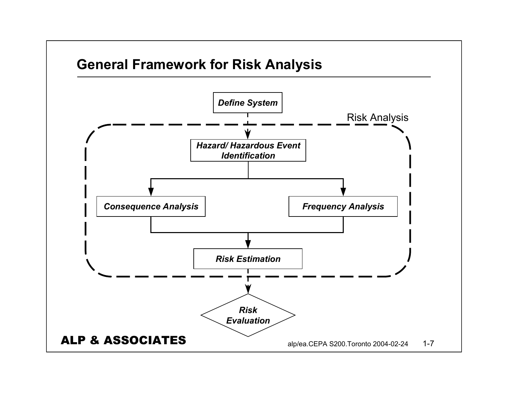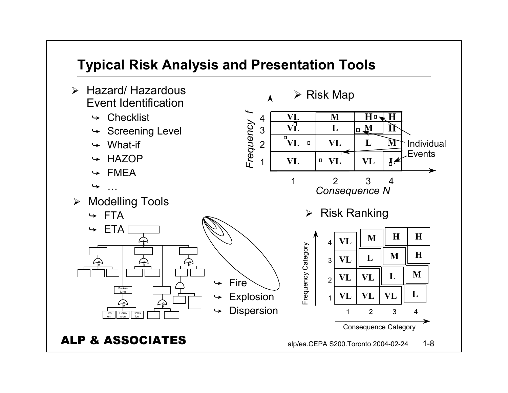## **Typical Risk Analysis and Presentation Tools**

- $\blacktriangleright$  Hazard/ Hazardous Event Identification
	- $\rightarrow$  Checklist
	- $\rightarrow$  Screening Level
	- $\rightarrow$  What-if
	- $\div$  HAZOP
	- $\div$  FMEA
	- $\rightarrow$ …

 $\div$  FTA

 $\div$  ETA

OR

¾ Modelling Tools

ALP & ASSOCIATES

Corro sion

OR

Broken<br>Line

Collis ion

OR

OR

<sup>O</sup>

OR R

Erosi on

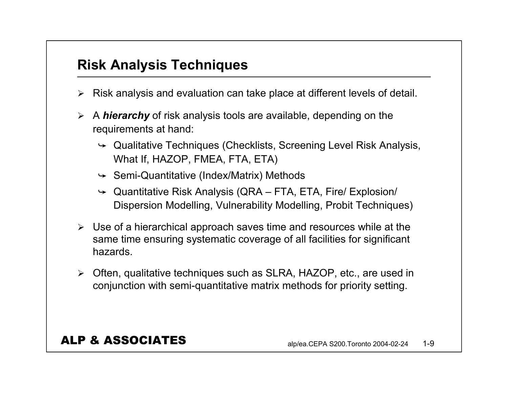## **Risk Analysis Techniques**

- ¾ Risk analysis and evaluation can take place at different levels of detail.
- ¾ A *hierarchy* of risk analysis tools are available, depending on the requirements at hand:
	- $\rightarrow$  Qualitative Techniques (Checklists, Screening Level Risk Analysis, What If, HAZOP, FMEA, FTA, ETA)
	- $\rightarrow$  Semi-Quantitative (Index/Matrix) Methods
	- $\rightarrow$  Quantitative Risk Analysis (QRA FTA, ETA, Fire/ Explosion/ Dispersion Modelling, Vulnerability Modelling, Probit Techniques)
- $\triangleright$  Use of a hierarchical approach saves time and resources while at the same time ensuring systematic coverage of all facilities for significant hazards.
- ¾ Often, qualitative techniques such as SLRA, HAZOP, etc., are used in conjunction with semi-quantitative matrix methods for priority setting.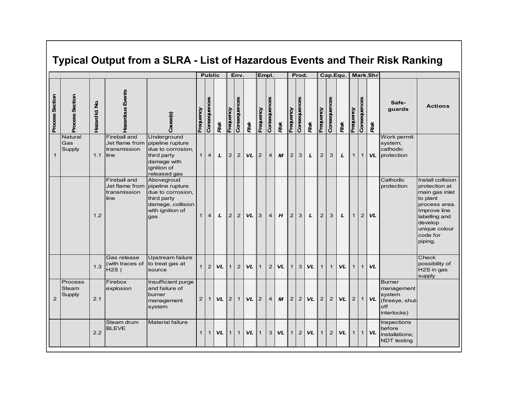### **Typical Output from a SLRA - List of Hazardous Events and Their Risk Ranking**

|                 |                            |                             |                                      |                                                                                                                                   |              | <b>Public</b>  |              |                | Env.           |           |                           | Empl.          |                  |                | Prod.                          |           |                |                | Cap.Equ.  |                |                | Mark.Shr  |                                                                                |                                                                                                                                                                       |
|-----------------|----------------------------|-----------------------------|--------------------------------------|-----------------------------------------------------------------------------------------------------------------------------------|--------------|----------------|--------------|----------------|----------------|-----------|---------------------------|----------------|------------------|----------------|--------------------------------|-----------|----------------|----------------|-----------|----------------|----------------|-----------|--------------------------------------------------------------------------------|-----------------------------------------------------------------------------------------------------------------------------------------------------------------------|
| Process Section | Process Section            | $\frac{1}{2}$<br>Hazard Id. | Hazardous Events                     | Cause(s)                                                                                                                          | Frequency    | Consequences   | Rsk          | Frequency      | Consequences   | Risk      | Frequency                 | Consequences   | Rsk              | Frequency      | Consequences                   | Risk      | Frequency      | Consequences   | Risk      | Frequency      | Consequences   | Risk      | Safe-<br>guards                                                                | <b>Actions</b>                                                                                                                                                        |
| $\mathbf{1}$    | Natural<br>Gas<br>Supply   | 1.1                         | Fireball and<br>transmission<br>line | Underground<br>Jet flame from pipeline rupture<br>due to corrosion.<br>third party<br>damage with<br>ignition of<br>released gas  | $\mathbf{1}$ | $\overline{4}$ | $\mathbf{L}$ | 2 <sup>1</sup> | 2              | <b>VL</b> | I2                        | $\overline{4}$ | $\boldsymbol{M}$ | $\overline{2}$ | 3                              | L         | 2              | 3              | L         | $\mathbf{1}$   | $\mathbf{1}$   | <b>VL</b> | Work permit<br>system;<br>cathodic<br>protection                               |                                                                                                                                                                       |
|                 |                            | 1.2                         | Fireball and<br>transmission<br>line | Abovegroud<br>Jet flame from pipeline rupture<br>due to corrosion,<br>third party<br>damage, collision<br>with ignition of<br>gas | $\mathbf{1}$ | $\overline{4}$ | L            | 2              | $\overline{2}$ | <b>VL</b> | $\mathbf{I}$ <sub>3</sub> | $\overline{4}$ | H                | $\overline{2}$ | 3                              | L         | $\overline{2}$ | 3              | L         | $\mathbf{1}$   | $\overline{2}$ | <b>VL</b> | Cathodic<br>protection                                                         | Install collision<br>protection at<br>main gas inlet<br>to plant<br>process area.<br>Improve line<br>labelling and<br>develop<br>unique colour<br>code for<br>piping. |
|                 |                            | 1.3                         | Gas release<br>$H2S$ )               | Upstream failure<br>(with traces of to treat gas at<br>source                                                                     | $\mathbf{1}$ | $\overline{2}$ | VL           | 1              | $\overline{2}$ | <b>VL</b> | $\mathbf 1$               | $\overline{2}$ | VL               | $\mathbf{1}$   | 3                              | <b>VL</b> | $\mathbf{1}$   | $\mathbf{1}$   | VL        | $\mathbf{1}$   | $\mathbf{1}$   | VL        |                                                                                | Check<br>possibility of<br>H2S in gas<br>supply                                                                                                                       |
| 2               | Process<br>Steam<br>Supply | 2.1                         | Firebox<br>explosion                 | Insufficient purge<br>and failure of<br>burner<br>management<br>system                                                            | 2            | $\mathbf{1}$   | <b>VL</b>    | 2 <sup>1</sup> | $\mathbf{1}$   | <b>VL</b> | $\mathsf{I}2$             | $\overline{4}$ | M                | $\overline{2}$ | 2                              | <b>VL</b> | $\overline{2}$ | $\overline{2}$ | <b>VL</b> | $\overline{2}$ | $\mathbf{1}$   | <b>VL</b> | <b>Burner</b><br>management<br>system<br>(fireeye, shut-<br>off<br>interlocks) |                                                                                                                                                                       |
|                 |                            | 2.2                         | Steam drum<br><b>BLEVE</b>           | Material failure                                                                                                                  | $\mathbf{1}$ | $\mathbf{1}$   | <b>VL</b>    | 1 <sup>1</sup> | $\mathbf{1}$   | <b>VL</b> | 1                         | 3              | <b>VL</b>        |                | $\overline{c}$<br>$\mathbf{1}$ | <b>VL</b> | $\mathbf{1}$   | $\overline{2}$ | <b>VL</b> | $\mathbf{1}$   | 1              | <b>VL</b> | Inspections<br>before<br>installations:<br><b>NDT</b> testing                  |                                                                                                                                                                       |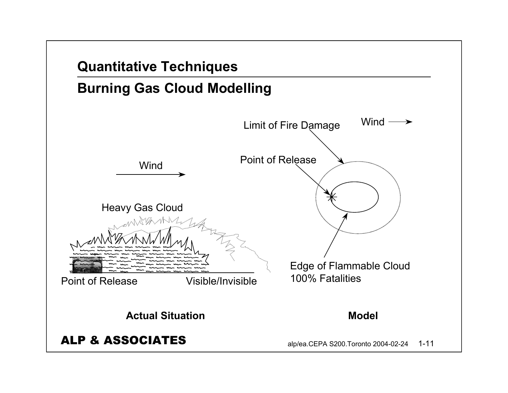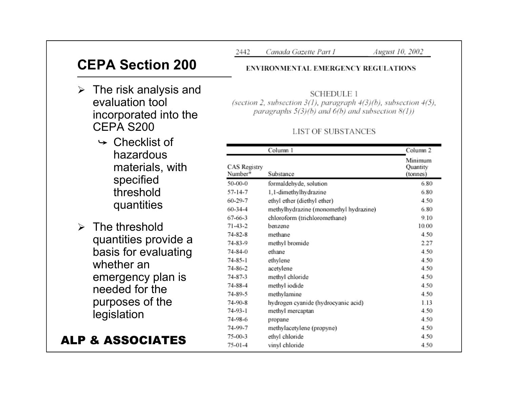## **CEPA Section 200**

- $\triangleright$  The risk analysis and evaluation tool incorporated into the CEPA S200
	- $\rightarrow$  Checklist of hazardous materials, with specified threshold quantities
- $\triangleright$  The threshold quantities provide a basis for evaluating whether an emergency plan is needed for the purposes of the legislation

### ALP & ASSOCIATES

2442 Canada Gazette Part I August 10, 2002

#### **ENVIRONMENTAL EMERGENCY REGULATIONS**

**SCHEDULE 1** (section 2, subsection 3(1), paragraph 4(3)(b), subsection 4(5), paragraphs  $5(3)(b)$  and  $6(b)$  and subsection  $8(1)$ )

#### **LIST OF SUBSTANCES**

|     |                                | Column 1                               | Column <sub>2</sub>             |  |  |
|-----|--------------------------------|----------------------------------------|---------------------------------|--|--|
| th  | <b>CAS</b> Registry<br>Number* | Substance                              | Minimum<br>Quantity<br>(tonnes) |  |  |
|     | 50-00-0                        | formaldehyde, solution                 | 6.80                            |  |  |
|     | 57-14-7                        | 1,1-dimethylhydrazine                  | 6.80                            |  |  |
|     | 60-29-7                        | ethyl ether (diethyl ether)            | 4.50                            |  |  |
|     | 60-34-4                        | methylhydrazine (monomethyl hydrazine) | 6.80                            |  |  |
|     | 67-66-3                        | chloroform (trichloromethane)          | 9.10                            |  |  |
|     | 71-43-2                        | benzene                                | 10.00                           |  |  |
|     | 74-82-8                        | methane                                | 4.50                            |  |  |
| е а | 74-83-9                        | methyl bromide                         | 2.27                            |  |  |
| ıng | 74-84-0                        | ethane                                 | 4.50                            |  |  |
|     | 74-85-1                        | ethylene                               | 4.50                            |  |  |
|     | 74-86-2                        | acetylene                              | 4.50                            |  |  |
| İS  | 74-87-3                        | methyl chloride                        | 4.50                            |  |  |
|     | 74-88-4                        | methyl iodide                          | 4.50                            |  |  |
|     | 74-89-5                        | methylamine                            | 4.50                            |  |  |
|     | 74-90-8                        | hydrogen cyanide (hydrocyanic acid)    | 1.13                            |  |  |
|     | 74-93-1                        | methyl mercaptan                       | 4.50                            |  |  |
|     | 74-98-6                        | propane                                | 4.50                            |  |  |
|     | 74-99-7                        | methylacetylene (propyne)              | 4.50                            |  |  |
| S   | 75-00-3                        | ethyl chloride                         | 4.50                            |  |  |
|     | 75-01-4                        | vinyl chloride                         | 4.50                            |  |  |
|     |                                |                                        |                                 |  |  |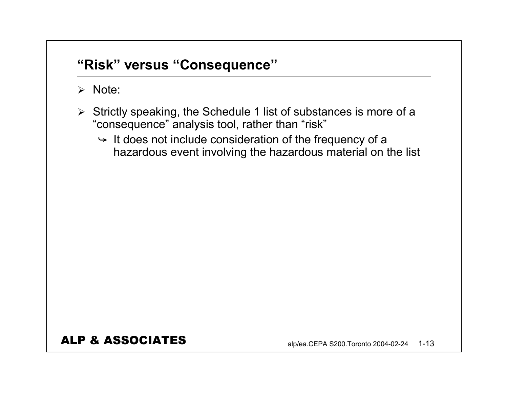## **"Risk" versus "Consequence"**

### ¾ Note:

- ¾ Strictly speaking, the Schedule 1 list of substances is more of a "consequence" analysis tool, rather than "risk"
	- $\rightarrow$  It does not include consideration of the frequency of a hazardous event involving the hazardous material on the list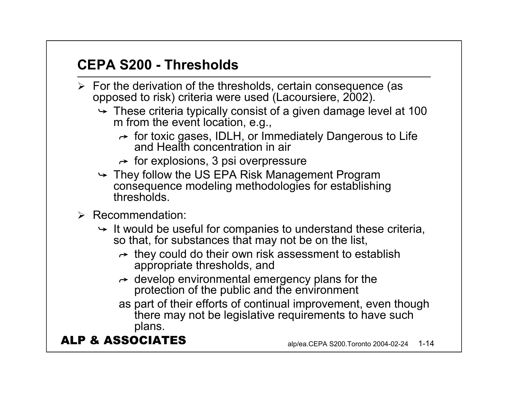## **CEPA S200 - Thresholds**

- $\triangleright$  For the derivation of the thresholds, certain consequence (as opposed to risk) criteria were used (Lacoursiere, 2002).
	- $\rightarrow$  These criteria typically consist of a given damage level at 100 m from the event location, e.g.,
		- $\rightarrow$  for toxic gases, IDLH, or Immediately Dangerous to Life and Health concentration in air
		- $\rightarrow$  for explosions, 3 psi overpressure
	- $\rightarrow$  They follow the US EPA Risk Management Program consequence modeling methodologies for establishing thresholds.
- ¾ Recommendation:
	- $\rightarrow$  It would be useful for companies to understand these criteria, so that, for substances that may not be on the list,
		- $\rightarrow$  they could do their own risk assessment to establish appropriate thresholds, and
		- $\rightarrow$  develop environmental emergency plans for the protection of the public and the environment
		- as part of their efforts of continual improvement, even though there may not be legislative requirements to have such plans.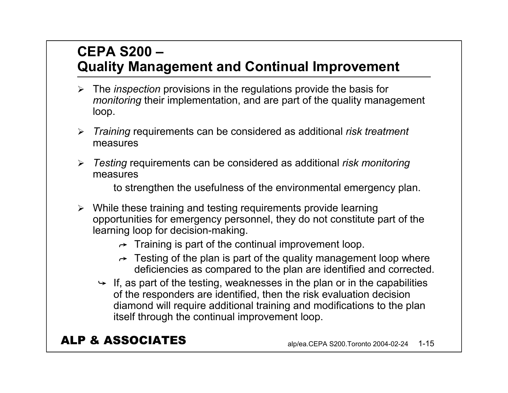## **CEPA S200 –Quality Management and Continual Improvement**

- ¾ The *inspection* provisions in the regulations provide the basis for *monitoring* their implementation, and are part of the quality management loop.
- ¾ *Training* requirements can be considered as additional *risk treatment* measures
- ¾ *Testing* requirements can be considered as additional *risk monitoring* measures

to strengthen the usefulness of the environmental emergency plan.

- ¾ While these training and testing requirements provide learning opportunities for emergency personnel, they do not constitute part of the learning loop for decision-making.
	- $\rightarrow$  Training is part of the continual improvement loop.
	- $\rightarrow$  Testing of the plan is part of the quality management loop where deficiencies as compared to the plan are identified and corrected.
	- $\rightarrow$  If, as part of the testing, weaknesses in the plan or in the capabilities of the responders are identified, then the risk evaluation decision diamond will require additional training and modifications to the plan itself through the continual improvement loop.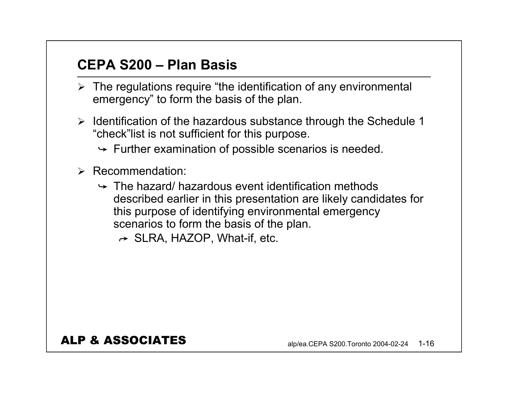## **CEPA S200 – Plan Basis**

- $\triangleright$  The regulations require "the identification of any environmental emergency" to form the basis of the plan.
- $\triangleright$  Identification of the hazardous substance through the Schedule 1 "check"list is not sufficient for this purpose.
	- $\rightarrow$  Further examination of possible scenarios is needed.
- ¾ Recommendation:
	- $\rightarrow$  The hazard/ hazardous event identification methods described earlier in this presentation are likely candidates for this purpose of identifying environmental emergency scenarios to form the basis of the plan.
		- $\rightarrow$  SLRA, HAZOP, What-if, etc.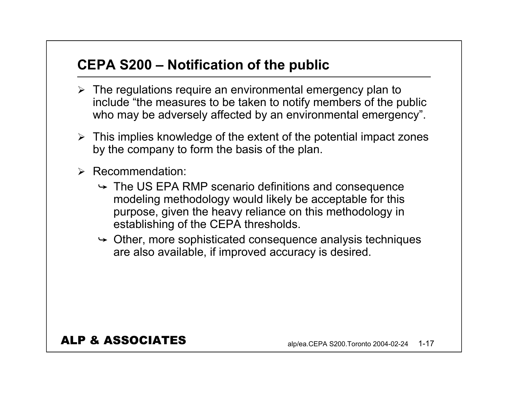## **CEPA S200 – Notification of the public**

- $\triangleright$  The regulations require an environmental emergency plan to include "the measures to be taken to notify members of the public who may be adversely affected by an environmental emergency".
- $\triangleright$  This implies knowledge of the extent of the potential impact zones by the company to form the basis of the plan.
- ¾ Recommendation:
	- $\rightarrow$  The US EPA RMP scenario definitions and consequence modeling methodology would likely be acceptable for this purpose, given the heavy reliance on this methodology in establishing of the CEPA thresholds.
	- $\rightarrow$  Other, more sophisticated consequence analysis techniques are also available, if improved accuracy is desired.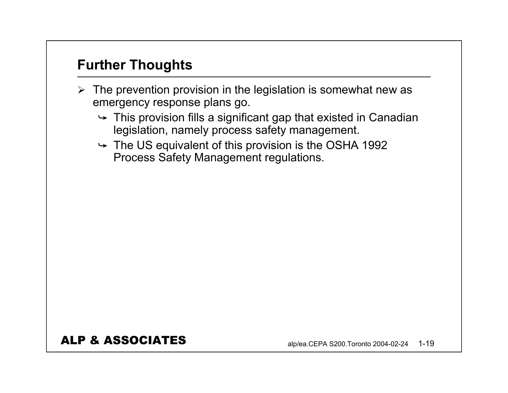## **Further Thoughts**

- $\triangleright$  The prevention provision in the legislation is somewhat new as emergency response plans go.
	- $\rightarrow$  This provision fills a significant gap that existed in Canadian legislation, namely process safety management.
	- $\rightarrow$  The US equivalent of this provision is the OSHA 1992 Process Safety Management regulations.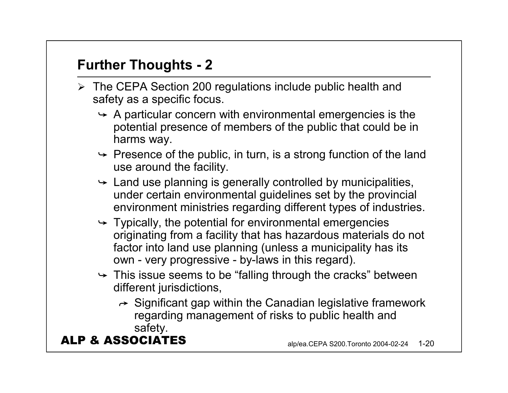## **Further Thoughts - 2**

- ¾ The CEPA Section 200 regulations include public health and safety as a specific focus.
	- $\rightarrow$  A particular concern with environmental emergencies is the potential presence of members of the public that could be in harms way.
	- $\rightarrow$  Presence of the public, in turn, is a strong function of the land use around the facility.
	- $\rightarrow$  Land use planning is generally controlled by municipalities, under certain environmental guidelines set by the provincial environment ministries regarding different types of industries.
	- $\rightarrow$  Typically, the potential for environmental emergencies originating from a facility that has hazardous materials do not factor into land use planning (unless a municipality has its own - very progressive - by-laws in this regard).
	- $\rightarrow$  This issue seems to be "falling through the cracks" between different jurisdictions,
		- $\rightarrow$  Significant gap within the Canadian legislative framework regarding management of risks to public health and safety.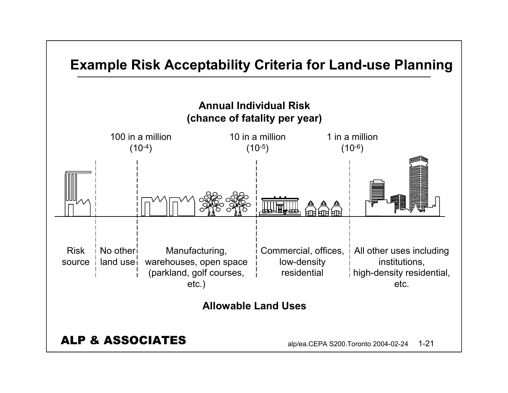